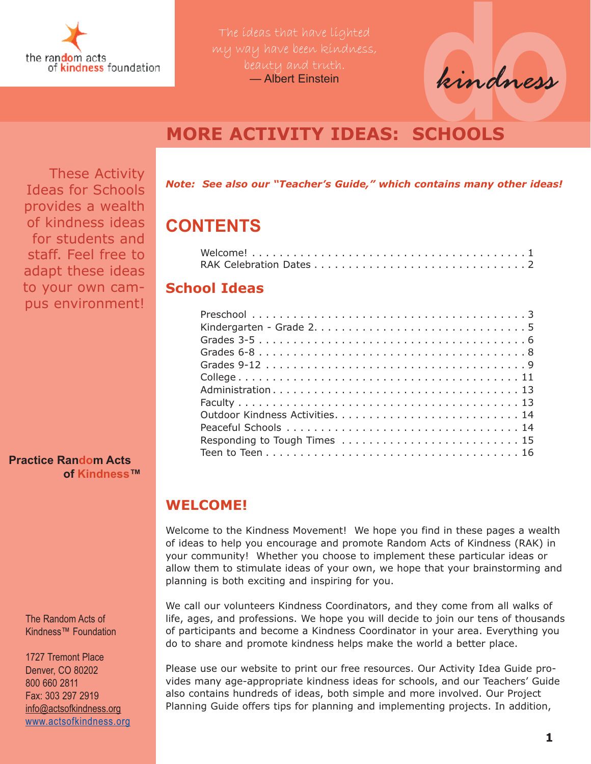

The ideas that have lighted beauty and truth. — Albert Einstein

**do***kindness*

### **MORE ACTIVITY IDEAS: SCHOOLS**

These Activity Ideas for Schools provides a wealth of kindness ideas for students and staff. Feel free to adapt these ideas to your own campus environment!

**Practice Random Acts of Kindness™**

> The Random Acts of Kindness™ Foundation

1727 Tremont Place Denver, CO 80202 800 660 2811 Fax: 303 297 2919 [info@actsofkindness.org](mailto:info@actsofkindness.org) [www.actsofkindness.org](http://www.actsofkindness.org) *Note: See also our "Teacher's Guide," which contains many other ideas!*

### **CONTENTS**

### **School Ideas**

### **WELCOME!**

Welcome to the Kindness Movement! We hope you find in these pages a wealth of ideas to help you encourage and promote Random Acts of Kindness (RAK) in your community! Whether you choose to implement these particular ideas or allow them to stimulate ideas of your own, we hope that your brainstorming and planning is both exciting and inspiring for you.

We call our volunteers Kindness Coordinators, and they come from all walks of life, ages, and professions. We hope you will decide to join our tens of thousands of participants and become a Kindness Coordinator in your area. Everything you do to share and promote kindness helps make the world a better place.

Please use our website to print our free resources. Our Activity Idea Guide provides many age-appropriate kindness ideas for schools, and our Teachers' Guide also contains hundreds of ideas, both simple and more involved. Our Project Planning Guide offers tips for planning and implementing projects. In addition,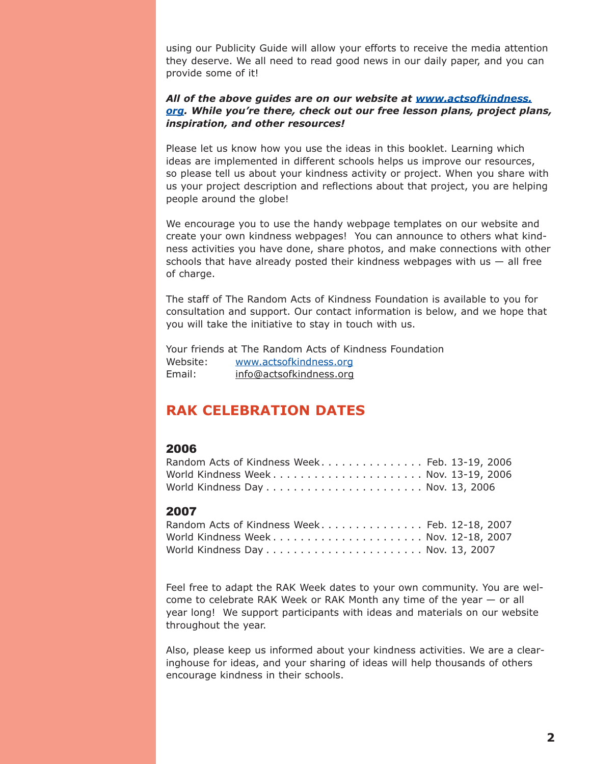using our Publicity Guide will allow your efforts to receive the media attention they deserve. We all need to read good news in our daily paper, and you can provide some of it!

#### *All of the above guides are on our website at [www.actsofkindness.](http://www.actsofkindness.org) org. While you're there, check out our free lesson plans, project plans, inspiration, and other resources!*

Please let us know how you use the ideas in this booklet. Learning which ideas are implemented in different schools helps us improve our resources, so please tell us about your kindness activity or project. When you share with us your project description and reflections about that project, you are helping people around the globe!

We encourage you to use the handy webpage templates on our website and create your own kindness webpages! You can announce to others what kindness activities you have done, share photos, and make connections with other schools that have already posted their kindness webpages with  $us - all$  free of charge.

The staff of The Random Acts of Kindness Foundation is available to you for consultation and support. Our contact information is below, and we hope that you will take the initiative to stay in touch with us.

Your friends at The Random Acts of Kindness Foundation Website: [www.actsofkindness.org](http://www.actsofkindness.org) Email: [info@actsofkindness.org](mailto:info@actsofkindness.org)

### **RAK CELEBRATION DATES**

#### 2006

| Random Acts of Kindness Week Feb. 13-19, 2006                                       |  |
|-------------------------------------------------------------------------------------|--|
|                                                                                     |  |
| World Kindness Day $\ldots \ldots \ldots \ldots \ldots \ldots \ldots$ Nov. 13, 2006 |  |

#### 2007

| Random Acts of Kindness Week Feb. 12-18, 2007                                       |  |
|-------------------------------------------------------------------------------------|--|
| World Kindness Week Nov. 12-18, 2007                                                |  |
| World Kindness Day $\ldots \ldots \ldots \ldots \ldots \ldots \ldots$ Nov. 13, 2007 |  |

Feel free to adapt the RAK Week dates to your own community. You are welcome to celebrate RAK Week or RAK Month any time of the year — or all year long! We support participants with ideas and materials on our website throughout the year.

Also, please keep us informed about your kindness activities. We are a clearinghouse for ideas, and your sharing of ideas will help thousands of others encourage kindness in their schools.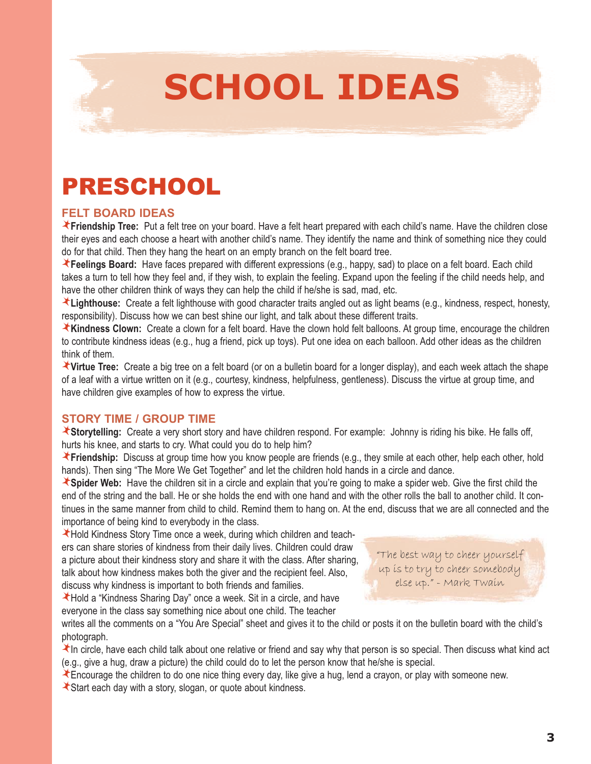

## PRESCHOOL

### **FELT BOARD IDEAS**

**Friendship Tree:** Put a felt tree on your board. Have a felt heart prepared with each child's name. Have the children close their eyes and each choose a heart with another child's name. They identify the name and think of something nice they could do for that child. Then they hang the heart on an empty branch on the felt board tree.

**Feelings Board:** Have faces prepared with different expressions (e.g., happy, sad) to place on a felt board. Each child takes a turn to tell how they feel and, if they wish, to explain the feeling. Expand upon the feeling if the child needs help, and have the other children think of ways they can help the child if he/she is sad, mad, etc.

Lighthouse: Create a felt lighthouse with good character traits angled out as light beams (e.g., kindness, respect, honesty, responsibility). Discuss how we can best shine our light, and talk about these different traits.

**Kindness Clown:** Create a clown for a felt board. Have the clown hold felt balloons. At group time, encourage the children to contribute kindness ideas (e.g., hug a friend, pick up toys). Put one idea on each balloon. Add other ideas as the children think of them.

**Virtue Tree:** Create a big tree on a felt board (or on a bulletin board for a longer display), and each week attach the shape of a leaf with a virtue written on it (e.g., courtesy, kindness, helpfulness, gentleness). Discuss the virtue at group time, and have children give examples of how to express the virtue.

### **STORY TIME / GROUP TIME**

**Storytelling:** Create a very short story and have children respond. For example: Johnny is riding his bike. He falls off, hurts his knee, and starts to cry. What could you do to help him?

**Friendship:** Discuss at group time how you know people are friends (e.g., they smile at each other, help each other, hold hands). Then sing "The More We Get Together" and let the children hold hands in a circle and dance.

**Spider Web:** Have the children sit in a circle and explain that you're going to make a spider web. Give the first child the end of the string and the ball. He or she holds the end with one hand and with the other rolls the ball to another child. It continues in the same manner from child to child. Remind them to hang on. At the end, discuss that we are all connected and the importance of being kind to everybody in the class.

Hold Kindness Story Time once a week, during which children and teachers can share stories of kindness from their daily lives. Children could draw a picture about their kindness story and share it with the class. After sharing, talk about how kindness makes both the giver and the recipient feel. Also, discuss why kindness is important to both friends and families.

Hold a "Kindness Sharing Day" once a week. Sit in a circle, and have everyone in the class say something nice about one child. The teacher

"The best way to cheer yourself up is to try to cheer somebody else up." - Mark Twain

writes all the comments on a "You Are Special" sheet and gives it to the child or posts it on the bulletin board with the child's photograph.

In circle, have each child talk about one relative or friend and say why that person is so special. Then discuss what kind act (e.g., give a hug, draw a picture) the child could do to let the person know that he/she is special.

Encourage the children to do one nice thing every day, like give a hug, lend a crayon, or play with someone new.

Start each day with a story, slogan, or quote about kindness.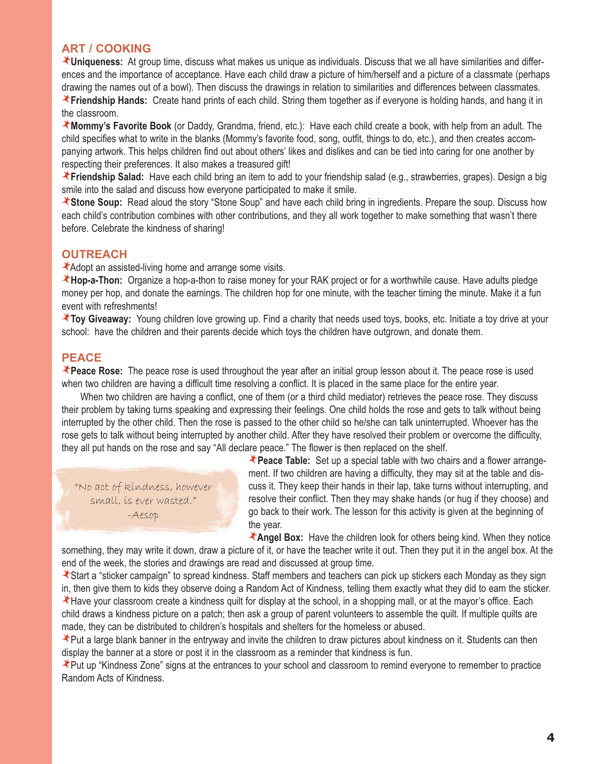### **ART / COOKING**

**Uniqueness:** At group time, discuss what makes us unique as individuals. Discuss that we all have similarities and differences and the importance of acceptance. Have each child draw a picture of him/herself and a picture of a classmate (perhaps drawing the names out of a bowl). Then discuss the drawings in relation to similarities and differences between classmates.

**Friendship Hands:** Create hand prints of each child. String them together as if everyone is holding hands, and hang it in the classroom.

**Mommy's Favorite Book** (or Daddy, Grandma, friend, etc.): Have each child create a book, with help from an adult. The child specifies what to write in the blanks (Mommy's favorite food, song, outfit, things to do, etc.), and then creates accompanying artwork. This helps children find out about others' likes and dislikes and can be tied into caring for one another by respecting their preferences. It also makes a treasured gift!

**Friendship Salad:** Have each child bring an item to add to your friendship salad (e.g., strawberries, grapes). Design a big smile into the salad and discuss how everyone participated to make it smile.

**Stone Soup:** Read aloud the story "Stone Soup" and have each child bring in ingredients. Prepare the soup. Discuss how each child's contribution combines with other contributions, and they all work together to make something that wasn't there before. Celebrate the kindness of sharing!

### **OUTREACH**

Adopt an assisted-living home and arrange some visits.

**Hop-a-Thon:** Organize a hop-a-thon to raise money for your RAK project or for a worthwhile cause. Have adults pledge money per hop, and donate the earnings. The children hop for one minute, with the teacher timing the minute. Make it a fun event with refreshments!

**Toy Giveaway:** Young children love growing up. Find a charity that needs used toys, books, etc. Initiate a toy drive at your school: have the children and their parents decide which toys the children have outgrown, and donate them.

### **PEACE**

**Peace Rose:** The peace rose is used throughout the year after an initial group lesson about it. The peace rose is used when two children are having a difficult time resolving a conflict. It is placed in the same place for the entire year.

 When two children are having a conflict, one of them (or a third child mediator) retrieves the peace rose. They discuss their problem by taking turns speaking and expressing their feelings. One child holds the rose and gets to talk without being interrupted by the other child. Then the rose is passed to the other child so he/she can talk uninterrupted. Whoever has the rose gets to talk without being interrupted by another child. After they have resolved their problem or overcome the difficulty, they all put hands on the rose and say "All declare peace." The flower is then replaced on the shelf.

"No act of kindness, however small, is ever wasted." -Aesop

**Peace Table:** Set up a special table with two chairs and a flower arrangement. If two children are having a difficulty, they may sit at the table and discuss it. They keep their hands in their lap, take turns without interrupting, and resolve their conflict. Then they may shake hands (or hug if they choose) and go back to their work. The lesson for this activity is given at the beginning of the year.

**Angel Box:** Have the children look for others being kind. When they notice something, they may write it down, draw a picture of it, or have the teacher write it out. Then they put it in the angel box. At the end of the week, the stories and drawings are read and discussed at group time.

Start a "sticker campaign" to spread kindness. Staff members and teachers can pick up stickers each Monday as they sign in, then give them to kids they observe doing a Random Act of Kindness, telling them exactly what they did to earn the sticker. Have your classroom create a kindness quilt for display at the school, in a shopping mall, or at the mayor's office. Each child draws a kindness picture on a patch; then ask a group of parent volunteers to assemble the quilt. If multiple quilts are made, they can be distributed to children's hospitals and shelters for the homeless or abused.

Put a large blank banner in the entryway and invite the children to draw pictures about kindness on it. Students can then display the banner at a store or post it in the classroom as a reminder that kindness is fun.

Put up "Kindness Zone" signs at the entrances to your school and classroom to remind everyone to remember to practice Random Acts of Kindness.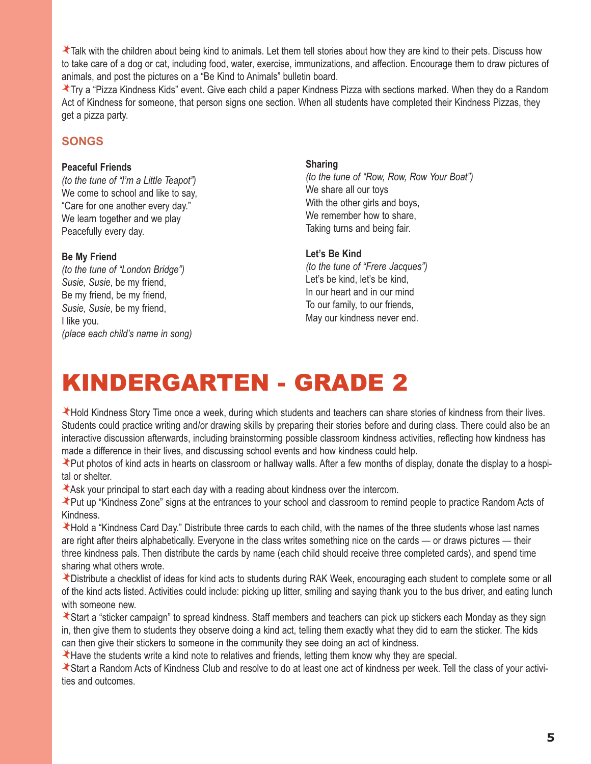Talk with the children about being kind to animals. Let them tell stories about how they are kind to their pets. Discuss how to take care of a dog or cat, including food, water, exercise, immunizations, and affection. Encourage them to draw pictures of animals, and post the pictures on a "Be Kind to Animals" bulletin board.

Try a "Pizza Kindness Kids" event. Give each child a paper Kindness Pizza with sections marked. When they do a Random Act of Kindness for someone, that person signs one section. When all students have completed their Kindness Pizzas, they get a pizza party.

### **SONGS**

#### **Peaceful Friends**

*(to the tune of "I'm a Little Teapot")* We come to school and like to say. "Care for one another every day." We learn together and we play Peacefully every day.

#### **Be My Friend**

*(to the tune of "London Bridge") Susie, Susie*, be my friend, Be my friend, be my friend, *Susie, Susie*, be my friend, I like you. *(place each child's name in song)*

#### **Sharing**

*(to the tune of "Row, Row, Row Your Boat")* We share all our toys With the other girls and boys, We remember how to share, Taking turns and being fair.

#### **Let's Be Kind**

*(to the tune of "Frere Jacques")* Let's be kind, let's be kind, In our heart and in our mind To our family, to our friends, May our kindness never end.

# KINDERGARTEN - GRADE 2

Hold Kindness Story Time once a week, during which students and teachers can share stories of kindness from their lives. Students could practice writing and/or drawing skills by preparing their stories before and during class. There could also be an interactive discussion afterwards, including brainstorming possible classroom kindness activities, reflecting how kindness has made a difference in their lives, and discussing school events and how kindness could help.

Put photos of kind acts in hearts on classroom or hallway walls. After a few months of display, donate the display to a hospital or shelter.

Ask your principal to start each day with a reading about kindness over the intercom.

Put up "Kindness Zone" signs at the entrances to your school and classroom to remind people to practice Random Acts of Kindness.

Hold a "Kindness Card Day." Distribute three cards to each child, with the names of the three students whose last names are right after theirs alphabetically. Everyone in the class writes something nice on the cards — or draws pictures — their three kindness pals. Then distribute the cards by name (each child should receive three completed cards), and spend time sharing what others wrote.

Distribute a checklist of ideas for kind acts to students during RAK Week, encouraging each student to complete some or all of the kind acts listed. Activities could include: picking up litter, smiling and saying thank you to the bus driver, and eating lunch with someone new.

Start a "sticker campaign" to spread kindness. Staff members and teachers can pick up stickers each Monday as they sign in, then give them to students they observe doing a kind act, telling them exactly what they did to earn the sticker. The kids can then give their stickers to someone in the community they see doing an act of kindness.

Have the students write a kind note to relatives and friends, letting them know why they are special.

Start a Random Acts of Kindness Club and resolve to do at least one act of kindness per week. Tell the class of your activities and outcomes.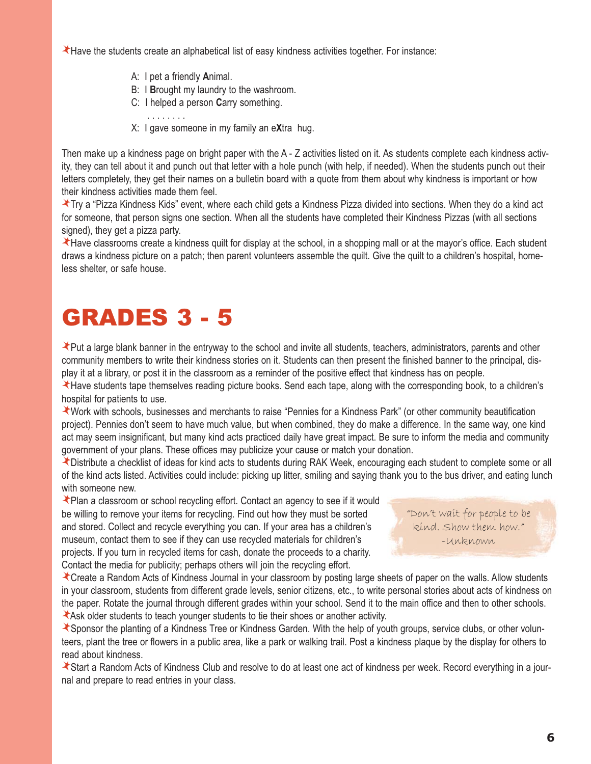Have the students create an alphabetical list of easy kindness activities together. For instance:

- A: I pet a friendly **A**nimal.
- B: I **B**rought my laundry to the washroom.
- C: I helped a person **C**arry something.
- . . . . . . . .
	- X: I gave someone in my family an e**X**tra hug.

Then make up a kindness page on bright paper with the A - Z activities listed on it. As students complete each kindness activity, they can tell about it and punch out that letter with a hole punch (with help, if needed). When the students punch out their letters completely, they get their names on a bulletin board with a quote from them about why kindness is important or how their kindness activities made them feel.

Try a "Pizza Kindness Kids" event, where each child gets a Kindness Pizza divided into sections. When they do a kind act for someone, that person signs one section. When all the students have completed their Kindness Pizzas (with all sections signed), they get a pizza party.

Have classrooms create a kindness quilt for display at the school, in a shopping mall or at the mayor's office. Each student draws a kindness picture on a patch; then parent volunteers assemble the quilt. Give the quilt to a children's hospital, homeless shelter, or safe house.

## GRADES 3 - 5

Put a large blank banner in the entryway to the school and invite all students, teachers, administrators, parents and other community members to write their kindness stories on it. Students can then present the finished banner to the principal, display it at a library, or post it in the classroom as a reminder of the positive effect that kindness has on people.

Have students tape themselves reading picture books. Send each tape, along with the corresponding book, to a children's hospital for patients to use.

Work with schools, businesses and merchants to raise "Pennies for a Kindness Park" (or other community beautification project). Pennies don't seem to have much value, but when combined, they do make a difference. In the same way, one kind act may seem insignificant, but many kind acts practiced daily have great impact. Be sure to inform the media and community government of your plans. These offices may publicize your cause or match your donation.

Distribute a checklist of ideas for kind acts to students during RAK Week, encouraging each student to complete some or all of the kind acts listed. Activities could include: picking up litter, smiling and saying thank you to the bus driver, and eating lunch with someone new.

Plan a classroom or school recycling effort. Contact an agency to see if it would be willing to remove your items for recycling. Find out how they must be sorted and stored. Collect and recycle everything you can. If your area has a children's museum, contact them to see if they can use recycled materials for children's projects. If you turn in recycled items for cash, donate the proceeds to a charity. Contact the media for publicity; perhaps others will join the recycling effort.

"Don't wait for people to be kind. Show them how." -Unknown

Create a Random Acts of Kindness Journal in your classroom by posting large sheets of paper on the walls. Allow students in your classroom, students from different grade levels, senior citizens, etc., to write personal stories about acts of kindness on the paper. Rotate the journal through different grades within your school. Send it to the main office and then to other schools. Ask older students to teach younger students to tie their shoes or another activity.

Sponsor the planting of a Kindness Tree or Kindness Garden. With the help of youth groups, service clubs, or other volunteers, plant the tree or flowers in a public area, like a park or walking trail. Post a kindness plaque by the display for others to read about kindness.

Start a Random Acts of Kindness Club and resolve to do at least one act of kindness per week. Record everything in a journal and prepare to read entries in your class.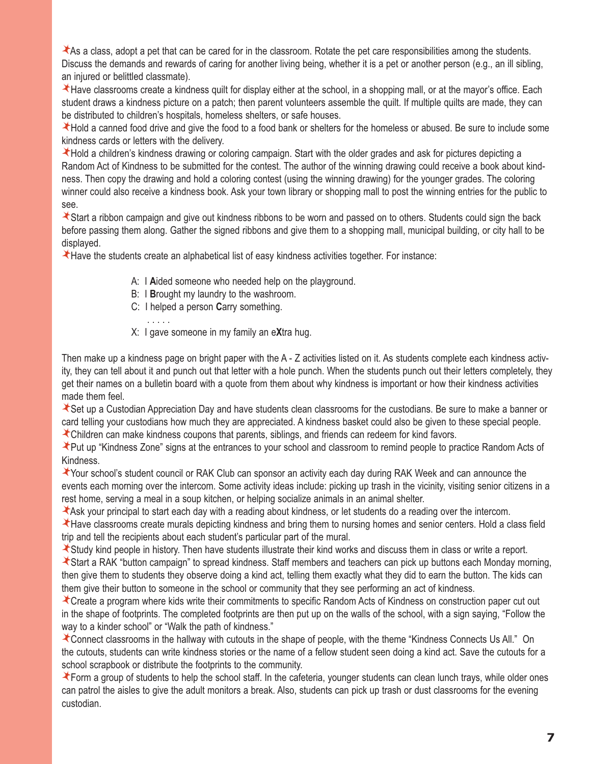As a class, adopt a pet that can be cared for in the classroom. Rotate the pet care responsibilities among the students. Discuss the demands and rewards of caring for another living being, whether it is a pet or another person (e.g., an ill sibling, an injured or belittled classmate).

Have classrooms create a kindness quilt for display either at the school, in a shopping mall, or at the mayor's office. Each student draws a kindness picture on a patch; then parent volunteers assemble the quilt. If multiple quilts are made, they can be distributed to children's hospitals, homeless shelters, or safe houses.

Hold a canned food drive and give the food to a food bank or shelters for the homeless or abused. Be sure to include some kindness cards or letters with the delivery.

Hold a children's kindness drawing or coloring campaign. Start with the older grades and ask for pictures depicting a Random Act of Kindness to be submitted for the contest. The author of the winning drawing could receive a book about kindness. Then copy the drawing and hold a coloring contest (using the winning drawing) for the younger grades. The coloring winner could also receive a kindness book. Ask your town library or shopping mall to post the winning entries for the public to see.

Start a ribbon campaign and give out kindness ribbons to be worn and passed on to others. Students could sign the back before passing them along. Gather the signed ribbons and give them to a shopping mall, municipal building, or city hall to be displayed.

Have the students create an alphabetical list of easy kindness activities together. For instance:

- A: I **A**ided someone who needed help on the playground.
- B: I **B**rought my laundry to the washroom.
- C: I helped a person **C**arry something.
- . . . . .
	- X: I gave someone in my family an e**X**tra hug.

Then make up a kindness page on bright paper with the A - Z activities listed on it. As students complete each kindness activity, they can tell about it and punch out that letter with a hole punch. When the students punch out their letters completely, they get their names on a bulletin board with a quote from them about why kindness is important or how their kindness activities made them feel.

Set up a Custodian Appreciation Day and have students clean classrooms for the custodians. Be sure to make a banner or card telling your custodians how much they are appreciated. A kindness basket could also be given to these special people.

Children can make kindness coupons that parents, siblings, and friends can redeem for kind favors.

Put up "Kindness Zone" signs at the entrances to your school and classroom to remind people to practice Random Acts of Kindness.

Your school's student council or RAK Club can sponsor an activity each day during RAK Week and can announce the events each morning over the intercom. Some activity ideas include: picking up trash in the vicinity, visiting senior citizens in a rest home, serving a meal in a soup kitchen, or helping socialize animals in an animal shelter.

Ask your principal to start each day with a reading about kindness, or let students do a reading over the intercom.

Have classrooms create murals depicting kindness and bring them to nursing homes and senior centers. Hold a class field trip and tell the recipients about each student's particular part of the mural.

Study kind people in history. Then have students illustrate their kind works and discuss them in class or write a report.

Start a RAK "button campaign" to spread kindness. Staff members and teachers can pick up buttons each Monday morning, then give them to students they observe doing a kind act, telling them exactly what they did to earn the button. The kids can them give their button to someone in the school or community that they see performing an act of kindness.

Create a program where kids write their commitments to specific Random Acts of Kindness on construction paper cut out in the shape of footprints. The completed footprints are then put up on the walls of the school, with a sign saying, "Follow the way to a kinder school" or "Walk the path of kindness."

Connect classrooms in the hallway with cutouts in the shape of people, with the theme "Kindness Connects Us All." On the cutouts, students can write kindness stories or the name of a fellow student seen doing a kind act. Save the cutouts for a school scrapbook or distribute the footprints to the community.

Form a group of students to help the school staff. In the cafeteria, younger students can clean lunch trays, while older ones can patrol the aisles to give the adult monitors a break. Also, students can pick up trash or dust classrooms for the evening custodian.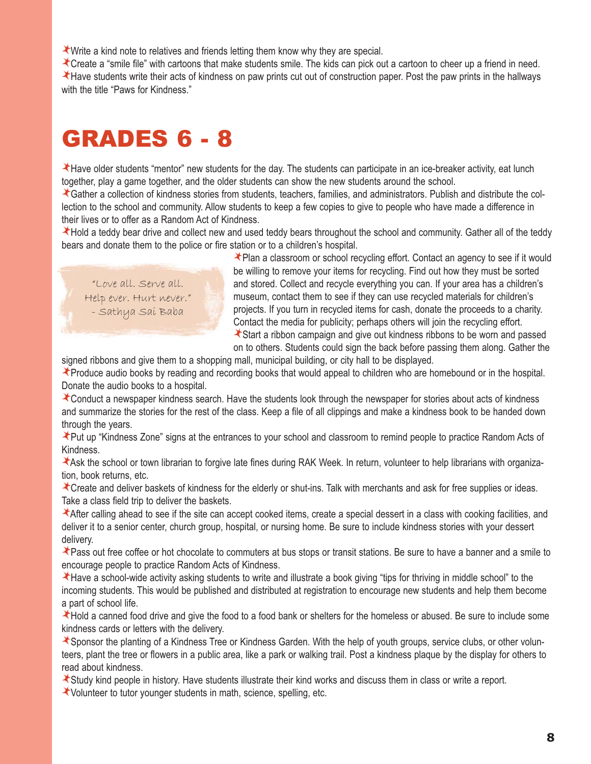Write a kind note to relatives and friends letting them know why they are special.

Create a "smile file" with cartoons that make students smile. The kids can pick out a cartoon to cheer up a friend in need. Have students write their acts of kindness on paw prints cut out of construction paper. Post the paw prints in the hallways with the title "Paws for Kindness."

### GRADES 6 - 8

Have older students "mentor" new students for the day. The students can participate in an ice-breaker activity, eat lunch together, play a game together, and the older students can show the new students around the school.

Gather a collection of kindness stories from students, teachers, families, and administrators. Publish and distribute the collection to the school and community. Allow students to keep a few copies to give to people who have made a difference in their lives or to offer as a Random Act of Kindness.

Hold a teddy bear drive and collect new and used teddy bears throughout the school and community. Gather all of the teddy bears and donate them to the police or fire station or to a children's hospital.

"Love all. Serve all. Help ever. Hurt never." - Sathya Sai Baba

Plan a classroom or school recycling effort. Contact an agency to see if it would be willing to remove your items for recycling. Find out how they must be sorted and stored. Collect and recycle everything you can. If your area has a children's museum, contact them to see if they can use recycled materials for children's projects. If you turn in recycled items for cash, donate the proceeds to a charity. Contact the media for publicity; perhaps others will join the recycling effort. Start a ribbon campaign and give out kindness ribbons to be worn and passed

on to others. Students could sign the back before passing them along. Gather the

signed ribbons and give them to a shopping mall, municipal building, or city hall to be displayed.

Produce audio books by reading and recording books that would appeal to children who are homebound or in the hospital. Donate the audio books to a hospital.

Conduct a newspaper kindness search. Have the students look through the newspaper for stories about acts of kindness and summarize the stories for the rest of the class. Keep a file of all clippings and make a kindness book to be handed down through the years.

Put up "Kindness Zone" signs at the entrances to your school and classroom to remind people to practice Random Acts of Kindness.

Ask the school or town librarian to forgive late fines during RAK Week. In return, volunteer to help librarians with organization, book returns, etc.

Create and deliver baskets of kindness for the elderly or shut-ins. Talk with merchants and ask for free supplies or ideas. Take a class field trip to deliver the baskets.

After calling ahead to see if the site can accept cooked items, create a special dessert in a class with cooking facilities, and deliver it to a senior center, church group, hospital, or nursing home. Be sure to include kindness stories with your dessert delivery.

Pass out free coffee or hot chocolate to commuters at bus stops or transit stations. Be sure to have a banner and a smile to encourage people to practice Random Acts of Kindness.

Have a school-wide activity asking students to write and illustrate a book giving "tips for thriving in middle school" to the incoming students. This would be published and distributed at registration to encourage new students and help them become a part of school life.

Hold a canned food drive and give the food to a food bank or shelters for the homeless or abused. Be sure to include some kindness cards or letters with the delivery.

Sponsor the planting of a Kindness Tree or Kindness Garden. With the help of youth groups, service clubs, or other volunteers, plant the tree or flowers in a public area, like a park or walking trail. Post a kindness plaque by the display for others to read about kindness.

Study kind people in history. Have students illustrate their kind works and discuss them in class or write a report.

Volunteer to tutor younger students in math, science, spelling, etc.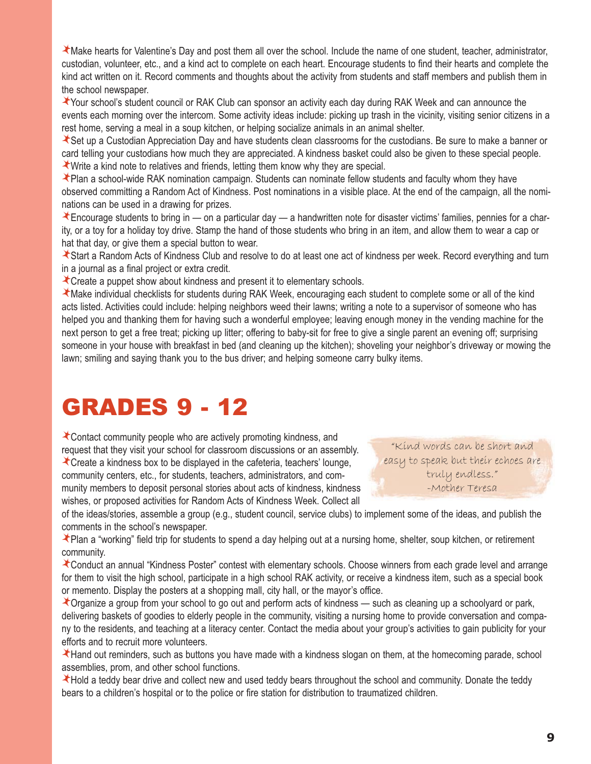Make hearts for Valentine's Day and post them all over the school. Include the name of one student, teacher, administrator, custodian, volunteer, etc., and a kind act to complete on each heart. Encourage students to find their hearts and complete the kind act written on it. Record comments and thoughts about the activity from students and staff members and publish them in the school newspaper.

Your school's student council or RAK Club can sponsor an activity each day during RAK Week and can announce the events each morning over the intercom. Some activity ideas include: picking up trash in the vicinity, visiting senior citizens in a rest home, serving a meal in a soup kitchen, or helping socialize animals in an animal shelter.

Set up a Custodian Appreciation Day and have students clean classrooms for the custodians. Be sure to make a banner or card telling your custodians how much they are appreciated. A kindness basket could also be given to these special people. Write a kind note to relatives and friends, letting them know why they are special.

Plan a school-wide RAK nomination campaign. Students can nominate fellow students and faculty whom they have observed committing a Random Act of Kindness. Post nominations in a visible place. At the end of the campaign, all the nominations can be used in a drawing for prizes.

Encourage students to bring in — on a particular day — a handwritten note for disaster victims' families, pennies for a charity, or a toy for a holiday toy drive. Stamp the hand of those students who bring in an item, and allow them to wear a cap or hat that day, or give them a special button to wear.

Start a Random Acts of Kindness Club and resolve to do at least one act of kindness per week. Record everything and turn in a journal as a final project or extra credit.

Create a puppet show about kindness and present it to elementary schools.

Make individual checklists for students during RAK Week, encouraging each student to complete some or all of the kind acts listed. Activities could include: helping neighbors weed their lawns; writing a note to a supervisor of someone who has helped you and thanking them for having such a wonderful employee; leaving enough money in the vending machine for the next person to get a free treat; picking up litter; offering to baby-sit for free to give a single parent an evening off; surprising someone in your house with breakfast in bed (and cleaning up the kitchen); shoveling your neighbor's driveway or mowing the lawn; smiling and saying thank you to the bus driver; and helping someone carry bulky items.

### GRADES 9 - 12

Contact community people who are actively promoting kindness, and request that they visit your school for classroom discussions or an assembly. Create a kindness box to be displayed in the cafeteria, teachers' lounge,

community centers, etc., for students, teachers, administrators, and community members to deposit personal stories about acts of kindness, kindness wishes, or proposed activities for Random Acts of Kindness Week. Collect all

"Kind words can be short and easy to speak but their echoes are truly endless." -Mother Teresa

of the ideas/stories, assemble a group (e.g., student council, service clubs) to implement some of the ideas, and publish the comments in the school's newspaper.

★ Plan a "working" field trip for students to spend a day helping out at a nursing home, shelter, soup kitchen, or retirement community.

Conduct an annual "Kindness Poster" contest with elementary schools. Choose winners from each grade level and arrange for them to visit the high school, participate in a high school RAK activity, or receive a kindness item, such as a special book or memento. Display the posters at a shopping mall, city hall, or the mayor's office.

Organize a group from your school to go out and perform acts of kindness — such as cleaning up a schoolyard or park, delivering baskets of goodies to elderly people in the community, visiting a nursing home to provide conversation and company to the residents, and teaching at a literacy center. Contact the media about your group's activities to gain publicity for your efforts and to recruit more volunteers.

Hand out reminders, such as buttons you have made with a kindness slogan on them, at the homecoming parade, school assemblies, prom, and other school functions.

Hold a teddy bear drive and collect new and used teddy bears throughout the school and community. Donate the teddy bears to a children's hospital or to the police or fire station for distribution to traumatized children.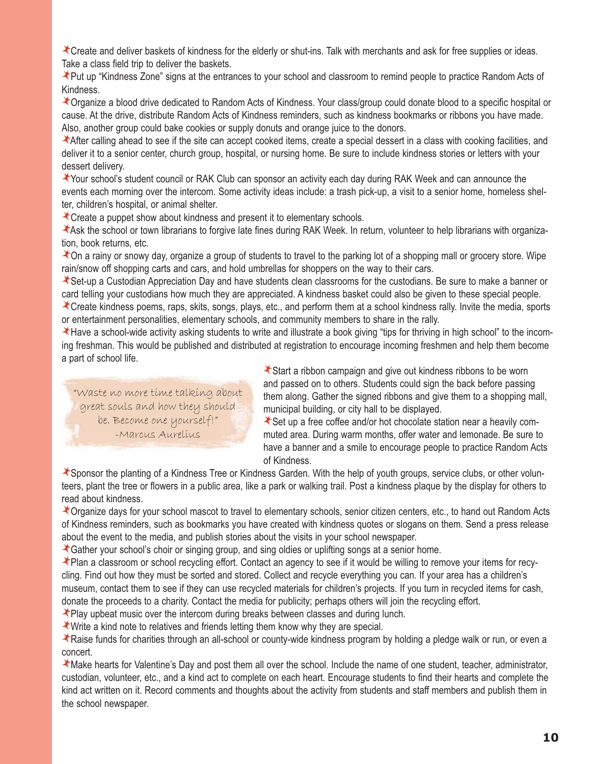Create and deliver baskets of kindness for the elderly or shut-ins. Talk with merchants and ask for free supplies or ideas. Take a class field trip to deliver the baskets.

Put up "Kindness Zone" signs at the entrances to your school and classroom to remind people to practice Random Acts of Kindness.

Organize a blood drive dedicated to Random Acts of Kindness. Your class/group could donate blood to a specific hospital or cause. At the drive, distribute Random Acts of Kindness reminders, such as kindness bookmarks or ribbons you have made. Also, another group could bake cookies or supply donuts and orange juice to the donors.

After calling ahead to see if the site can accept cooked items, create a special dessert in a class with cooking facilities, and deliver it to a senior center, church group, hospital, or nursing home. Be sure to include kindness stories or letters with your dessert delivery.

Your school's student council or RAK Club can sponsor an activity each day during RAK Week and can announce the events each morning over the intercom. Some activity ideas include: a trash pick-up, a visit to a senior home, homeless shelter, children's hospital, or animal shelter.

Create a puppet show about kindness and present it to elementary schools.

Ask the school or town librarians to forgive late fines during RAK Week. In return, volunteer to help librarians with organization, book returns, etc.

**T** On a rainy or snowy day, organize a group of students to travel to the parking lot of a shopping mall or grocery store. Wipe rain/snow off shopping carts and cars, and hold umbrellas for shoppers on the way to their cars.

Set-up a Custodian Appreciation Day and have students clean classrooms for the custodians. Be sure to make a banner or card telling your custodians how much they are appreciated. A kindness basket could also be given to these special people.

Create kindness poems, raps, skits, songs, plays, etc., and perform them at a school kindness rally. Invite the media, sports or entertainment personalities, elementary schools, and community members to share in the rally.

Have a school-wide activity asking students to write and illustrate a book giving "tips for thriving in high school" to the incoming freshman. This would be published and distributed at registration to encourage incoming freshmen and help them become a part of school life.

"Waste no more time talking about great souls and how they should be. Become one yourself!" -Marcus Aurelius

Start a ribbon campaign and give out kindness ribbons to be worn and passed on to others. Students could sign the back before passing them along. Gather the signed ribbons and give them to a shopping mall, municipal building, or city hall to be displayed.

Set up a free coffee and/or hot chocolate station near a heavily commuted area. During warm months, offer water and lemonade. Be sure to have a banner and a smile to encourage people to practice Random Acts of Kindness.

Sponsor the planting of a Kindness Tree or Kindness Garden. With the help of youth groups, service clubs, or other volunteers, plant the tree or flowers in a public area, like a park or walking trail. Post a kindness plaque by the display for others to read about kindness.

Organize days for your school mascot to travel to elementary schools, senior citizen centers, etc., to hand out Random Acts of Kindness reminders, such as bookmarks you have created with kindness quotes or slogans on them. Send a press release about the event to the media, and publish stories about the visits in your school newspaper.

Gather your school's choir or singing group, and sing oldies or uplifting songs at a senior home.

Plan a classroom or school recycling effort. Contact an agency to see if it would be willing to remove your items for recycling. Find out how they must be sorted and stored. Collect and recycle everything you can. If your area has a children's museum, contact them to see if they can use recycled materials for children's projects. If you turn in recycled items for cash, donate the proceeds to a charity. Contact the media for publicity; perhaps others will join the recycling effort.

Play upbeat music over the intercom during breaks between classes and during lunch.

Write a kind note to relatives and friends letting them know why they are special.

Raise funds for charities through an all-school or county-wide kindness program by holding a pledge walk or run, or even a concert.

Make hearts for Valentine's Day and post them all over the school. Include the name of one student, teacher, administrator, custodian, volunteer, etc., and a kind act to complete on each heart. Encourage students to find their hearts and complete the kind act written on it. Record comments and thoughts about the activity from students and staff members and publish them in the school newspaper.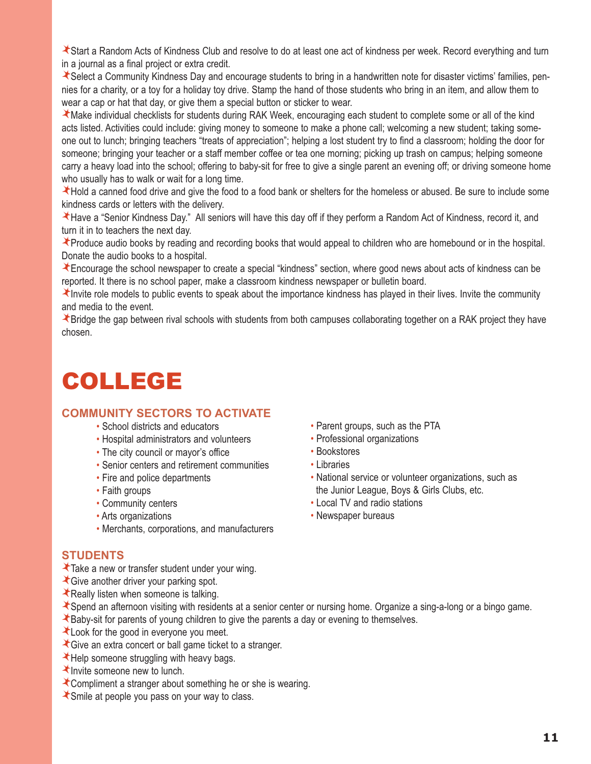Start a Random Acts of Kindness Club and resolve to do at least one act of kindness per week. Record everything and turn in a journal as a final project or extra credit.

Select a Community Kindness Day and encourage students to bring in a handwritten note for disaster victims' families, pennies for a charity, or a toy for a holiday toy drive. Stamp the hand of those students who bring in an item, and allow them to wear a cap or hat that day, or give them a special button or sticker to wear.

Make individual checklists for students during RAK Week, encouraging each student to complete some or all of the kind acts listed. Activities could include: giving money to someone to make a phone call; welcoming a new student; taking someone out to lunch; bringing teachers "treats of appreciation"; helping a lost student try to find a classroom; holding the door for someone; bringing your teacher or a staff member coffee or tea one morning; picking up trash on campus; helping someone carry a heavy load into the school; offering to baby-sit for free to give a single parent an evening off; or driving someone home who usually has to walk or wait for a long time.

Hold a canned food drive and give the food to a food bank or shelters for the homeless or abused. Be sure to include some kindness cards or letters with the delivery.

Have a "Senior Kindness Day." All seniors will have this day off if they perform a Random Act of Kindness, record it, and turn it in to teachers the next day.

Produce audio books by reading and recording books that would appeal to children who are homebound or in the hospital. Donate the audio books to a hospital.

Encourage the school newspaper to create a special "kindness" section, where good news about acts of kindness can be reported. It there is no school paper, make a classroom kindness newspaper or bulletin board.

Invite role models to public events to speak about the importance kindness has played in their lives. Invite the community and media to the event.

Bridge the gap between rival schools with students from both campuses collaborating together on a RAK project they have chosen.

# COLLEGE

### **COMMUNITY SECTORS TO ACTIVATE**

- School districts and educators
- Hospital administrators and volunteers
- The city council or mayor's office
- Senior centers and retirement communities
- Fire and police departments
- Faith groups
- Community centers
- Arts organizations
- Merchants, corporations, and manufacturers
- Parent groups, such as the PTA • Professional organizations
- Bookstores
- Libraries
- National service or volunteer organizations, such as the Junior League, Boys & Girls Clubs, etc.
- Local TV and radio stations
- Newspaper bureaus

### **STUDENTS**

- Take a new or transfer student under your wing.
- Give another driver your parking spot.
- $\star$  Really listen when someone is talking.
- Spend an afternoon visiting with residents at a senior center or nursing home. Organize a sing-a-long or a bingo game.
- Baby-sit for parents of young children to give the parents a day or evening to themselves.
- Look for the good in everyone you meet.
- Give an extra concert or ball game ticket to a stranger.
- Help someone struggling with heavy bags.
- $\star$  Invite someone new to lunch.
- Compliment a stranger about something he or she is wearing.
- Smile at people you pass on your way to class.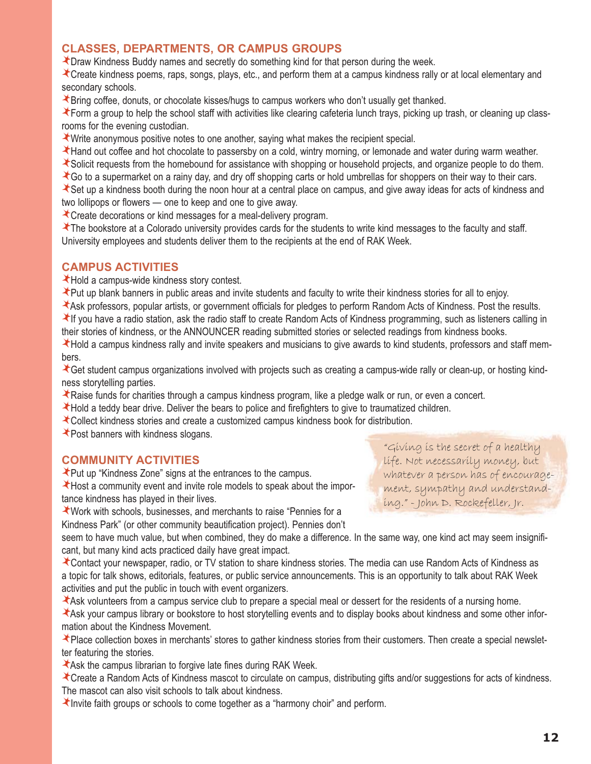### **CLASSES, DEPARTMENTS, OR CAMPUS GROUPS**

**X** Draw Kindness Buddy names and secretly do something kind for that person during the week.

Create kindness poems, raps, songs, plays, etc., and perform them at a campus kindness rally or at local elementary and secondary schools.

Bring coffee, donuts, or chocolate kisses/hugs to campus workers who don't usually get thanked.

Form a group to help the school staff with activities like clearing cafeteria lunch trays, picking up trash, or cleaning up classrooms for the evening custodian.

Write anonymous positive notes to one another, saying what makes the recipient special.

Hand out coffee and hot chocolate to passersby on a cold, wintry morning, or lemonade and water during warm weather.

Solicit requests from the homebound for assistance with shopping or household projects, and organize people to do them.

Go to a supermarket on a rainy day, and dry off shopping carts or hold umbrellas for shoppers on their way to their cars.

Set up a kindness booth during the noon hour at a central place on campus, and give away ideas for acts of kindness and two lollipops or flowers — one to keep and one to give away.

Create decorations or kind messages for a meal-delivery program.

The bookstore at a Colorado university provides cards for the students to write kind messages to the faculty and staff. University employees and students deliver them to the recipients at the end of RAK Week.

### **CAMPUS ACTIVITIES**

Hold a campus-wide kindness story contest.

Put up blank banners in public areas and invite students and faculty to write their kindness stories for all to enjoy.

Ask professors, popular artists, or government officials for pledges to perform Random Acts of Kindness. Post the results. If you have a radio station, ask the radio staff to create Random Acts of Kindness programming, such as listeners calling in their stories of kindness, or the ANNOUNCER reading submitted stories or selected readings from kindness books.

Hold a campus kindness rally and invite speakers and musicians to give awards to kind students, professors and staff members.

Get student campus organizations involved with projects such as creating a campus-wide rally or clean-up, or hosting kindness storytelling parties.

Raise funds for charities through a campus kindness program, like a pledge walk or run, or even a concert.

Hold a teddy bear drive. Deliver the bears to police and firefighters to give to traumatized children.

- Collect kindness stories and create a customized campus kindness book for distribution.
- Post banners with kindness slogans.

### **COMMUNITY ACTIVITIES**

Put up "Kindness Zone" signs at the entrances to the campus.

Host a community event and invite role models to speak about the importance kindness has played in their lives.

Work with schools, businesses, and merchants to raise "Pennies for a

Kindness Park" (or other community beautification project). Pennies don't

"Giving is the secret of a healthy **you do!** life. Not necessarily money, but whatever a person has of encouragement, sympathy and understanding." - John D. Rockefeller, Jr.

seem to have much value, but when combined, they do make a difference. In the same way, one kind act may seem insignificant, but many kind acts practiced daily have great impact.

Contact your newspaper, radio, or TV station to share kindness stories. The media can use Random Acts of Kindness as a topic for talk shows, editorials, features, or public service announcements. This is an opportunity to talk about RAK Week activities and put the public in touch with event organizers.

Ask volunteers from a campus service club to prepare a special meal or dessert for the residents of a nursing home.

Ask your campus library or bookstore to host storytelling events and to display books about kindness and some other information about the Kindness Movement.

★ Place collection boxes in merchants' stores to gather kindness stories from their customers. Then create a special newsletter featuring the stories.

Ask the campus librarian to forgive late fines during RAK Week.

Create a Random Acts of Kindness mascot to circulate on campus, distributing gifts and/or suggestions for acts of kindness. The mascot can also visit schools to talk about kindness.

Invite faith groups or schools to come together as a "harmony choir" and perform.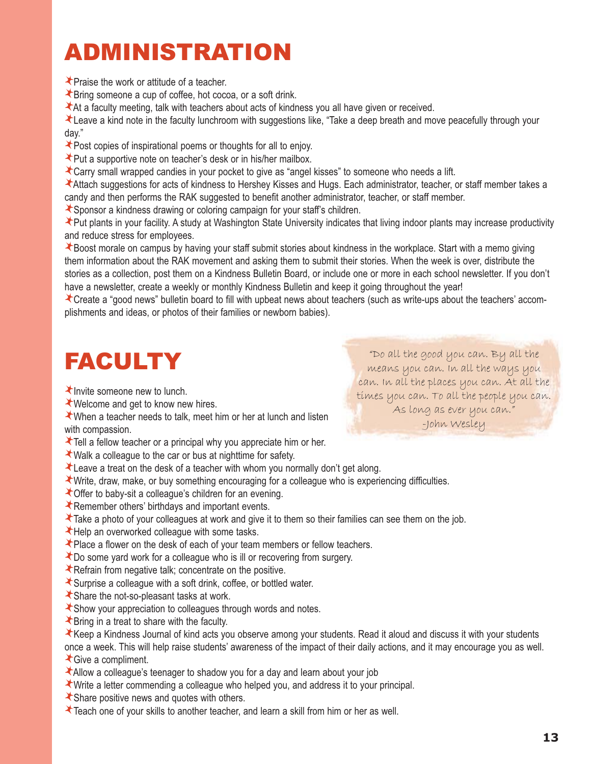# ADMINISTRATION

Praise the work or attitude of a teacher.

Bring someone a cup of coffee, hot cocoa, or a soft drink.

At a faculty meeting, talk with teachers about acts of kindness you all have given or received.

Leave a kind note in the faculty lunchroom with suggestions like, "Take a deep breath and move peacefully through your day."

Post copies of inspirational poems or thoughts for all to enjoy.

Put a supportive note on teacher's desk or in his/her mailbox.

Carry small wrapped candies in your pocket to give as "angel kisses" to someone who needs a lift.

Attach suggestions for acts of kindness to Hershey Kisses and Hugs. Each administrator, teacher, or staff member takes a candy and then performs the RAK suggested to benefit another administrator, teacher, or staff member.

Sponsor a kindness drawing or coloring campaign for your staff's children.

Put plants in your facility. A study at Washington State University indicates that living indoor plants may increase productivity and reduce stress for employees.

Boost morale on campus by having your staff submit stories about kindness in the workplace. Start with a memo giving them information about the RAK movement and asking them to submit their stories. When the week is over, distribute the stories as a collection, post them on a Kindness Bulletin Board, or include one or more in each school newsletter. If you don't have a newsletter, create a weekly or monthly Kindness Bulletin and keep it going throughout the year!

Create a "good news" bulletin board to fill with upbeat news about teachers (such as write-ups about the teachers' accomplishments and ideas, or photos of their families or newborn babies).

# FACULTY

 $\star$  Invite someone new to lunch.

Welcome and get to know new hires.

When a teacher needs to talk, meet him or her at lunch and listen with compassion.

Tell a fellow teacher or a principal why you appreciate him or her.

- Walk a colleague to the car or bus at nighttime for safety.
- Leave a treat on the desk of a teacher with whom you normally don't get along.
- Write, draw, make, or buy something encouraging for a colleague who is experiencing difficulties.
- Offer to baby-sit a colleague's children for an evening.
- Remember others' birthdays and important events.
- Take a photo of your colleagues at work and give it to them so their families can see them on the job.
- Help an overworked colleague with some tasks.
- Place a flower on the desk of each of your team members or fellow teachers.
- Do some yard work for a colleague who is ill or recovering from surgery.
- Refrain from negative talk; concentrate on the positive.
- Surprise a colleague with a soft drink, coffee, or bottled water.
- Share the not-so-pleasant tasks at work.
- Show your appreciation to colleagues through words and notes.
- $\star$  Bring in a treat to share with the faculty.
- Keep a Kindness Journal of kind acts you observe among your students. Read it aloud and discuss it with your students once a week. This will help raise students' awareness of the impact of their daily actions, and it may encourage you as well.
- Give a compliment.
- Allow a colleague's teenager to shadow you for a day and learn about your job
- Write a letter commending a colleague who helped you, and address it to your principal.
- Share positive news and quotes with others.
- Teach one of your skills to another teacher, and learn a skill from him or her as well.

"Do all the good you can. By all the means you can. In all the ways you can. In all the places you can. At all the times you can. To all the people you can. As long as ever you can." -John Wesley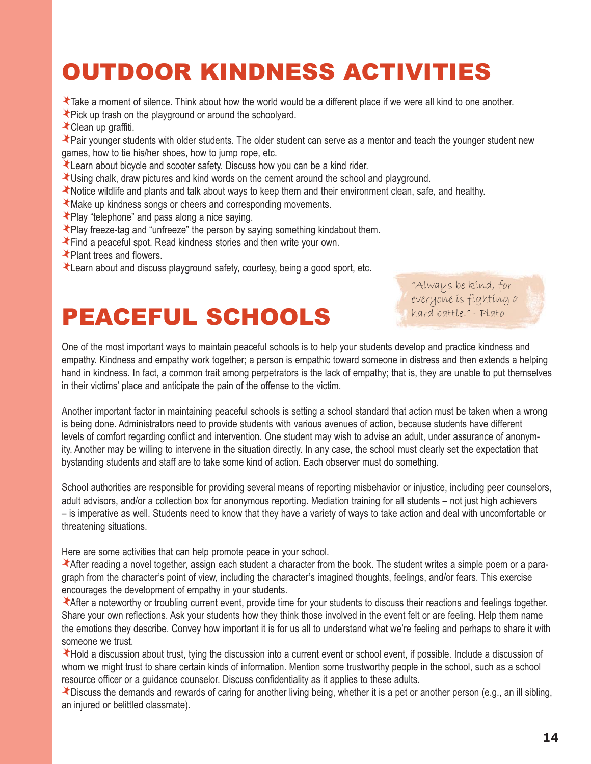# OUTDOOR KINDNESS ACTIVITIES

Take a moment of silence. Think about how the world would be a different place if we were all kind to one another.

- Pick up trash on the playground or around the schoolyard.
- Clean up graffiti.

Pair younger students with older students. The older student can serve as a mentor and teach the younger student new games, how to tie his/her shoes, how to jump rope, etc.

- Learn about bicycle and scooter safety. Discuss how you can be a kind rider.
- Using chalk, draw pictures and kind words on the cement around the school and playground.
- Notice wildlife and plants and talk about ways to keep them and their environment clean, safe, and healthy.
- Make up kindness songs or cheers and corresponding movements.
- Play "telephone" and pass along a nice saying.
- Play freeze-tag and "unfreeze" the person by saying something kindabout them.
- Find a peaceful spot. Read kindness stories and then write your own.
- **★Plant trees and flowers.**
- Learn about and discuss playground safety, courtesy, being a good sport, etc.

## PEACEFUL SCHOOLS

"Always be kind, for everyone is fighting a hard battle." - Plato

One of the most important ways to maintain peaceful schools is to help your students develop and practice kindness and empathy. Kindness and empathy work together; a person is empathic toward someone in distress and then extends a helping hand in kindness. In fact, a common trait among perpetrators is the lack of empathy; that is, they are unable to put themselves in their victims' place and anticipate the pain of the offense to the victim.

Another important factor in maintaining peaceful schools is setting a school standard that action must be taken when a wrong is being done. Administrators need to provide students with various avenues of action, because students have different levels of comfort regarding conflict and intervention. One student may wish to advise an adult, under assurance of anonymity. Another may be willing to intervene in the situation directly. In any case, the school must clearly set the expectation that bystanding students and staff are to take some kind of action. Each observer must do something.

School authorities are responsible for providing several means of reporting misbehavior or injustice, including peer counselors, adult advisors, and/or a collection box for anonymous reporting. Mediation training for all students – not just high achievers – is imperative as well. Students need to know that they have a variety of ways to take action and deal with uncomfortable or threatening situations.

Here are some activities that can help promote peace in your school.

After reading a novel together, assign each student a character from the book. The student writes a simple poem or a paragraph from the character's point of view, including the character's imagined thoughts, feelings, and/or fears. This exercise encourages the development of empathy in your students.

After a noteworthy or troubling current event, provide time for your students to discuss their reactions and feelings together. Share your own reflections. Ask your students how they think those involved in the event felt or are feeling. Help them name the emotions they describe. Convey how important it is for us all to understand what we're feeling and perhaps to share it with someone we trust.

Hold a discussion about trust, tying the discussion into a current event or school event, if possible. Include a discussion of whom we might trust to share certain kinds of information. Mention some trustworthy people in the school, such as a school resource officer or a guidance counselor. Discuss confidentiality as it applies to these adults.

Discuss the demands and rewards of caring for another living being, whether it is a pet or another person (e.g., an ill sibling, an injured or belittled classmate).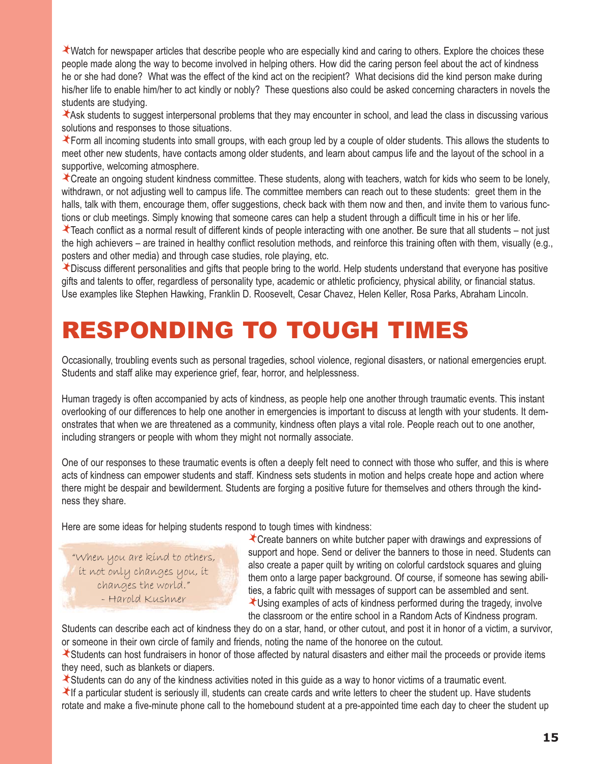Watch for newspaper articles that describe people who are especially kind and caring to others. Explore the choices these people made along the way to become involved in helping others. How did the caring person feel about the act of kindness he or she had done? What was the effect of the kind act on the recipient? What decisions did the kind person make during his/her life to enable him/her to act kindly or nobly? These questions also could be asked concerning characters in novels the students are studying.

Ask students to suggest interpersonal problems that they may encounter in school, and lead the class in discussing various solutions and responses to those situations.

Form all incoming students into small groups, with each group led by a couple of older students. This allows the students to meet other new students, have contacts among older students, and learn about campus life and the layout of the school in a supportive, welcoming atmosphere.

Create an ongoing student kindness committee. These students, along with teachers, watch for kids who seem to be lonely, withdrawn, or not adjusting well to campus life. The committee members can reach out to these students: greet them in the halls, talk with them, encourage them, offer suggestions, check back with them now and then, and invite them to various functions or club meetings. Simply knowing that someone cares can help a student through a difficult time in his or her life.

Teach conflict as a normal result of different kinds of people interacting with one another. Be sure that all students – not just the high achievers – are trained in healthy conflict resolution methods, and reinforce this training often with them, visually (e.g., posters and other media) and through case studies, role playing, etc.

Discuss different personalities and gifts that people bring to the world. Help students understand that everyone has positive gifts and talents to offer, regardless of personality type, academic or athletic proficiency, physical ability, or financial status. Use examples like Stephen Hawking, Franklin D. Roosevelt, Cesar Chavez, Helen Keller, Rosa Parks, Abraham Lincoln.

## RESPONDING TO TOUGH TIMES

Occasionally, troubling events such as personal tragedies, school violence, regional disasters, or national emergencies erupt. Students and staff alike may experience grief, fear, horror, and helplessness.

Human tragedy is often accompanied by acts of kindness, as people help one another through traumatic events. This instant overlooking of our differences to help one another in emergencies is important to discuss at length with your students. It demonstrates that when we are threatened as a community, kindness often plays a vital role. People reach out to one another, including strangers or people with whom they might not normally associate.

One of our responses to these traumatic events is often a deeply felt need to connect with those who suffer, and this is where acts of kindness can empower students and staff. Kindness sets students in motion and helps create hope and action where there might be despair and bewilderment. Students are forging a positive future for themselves and others through the kindness they share.

Here are some ideas for helping students respond to tough times with kindness:

"When you are kind to others, it not only changes you, it changes the world." - Harold Kushner

Create banners on white butcher paper with drawings and expressions of support and hope. Send or deliver the banners to those in need. Students can also create a paper quilt by writing on colorful cardstock squares and gluing them onto a large paper background. Of course, if someone has sewing abilities, a fabric quilt with messages of support can be assembled and sent. Using examples of acts of kindness performed during the tragedy, involve

the classroom or the entire school in a Random Acts of Kindness program.

Students can describe each act of kindness they do on a star, hand, or other cutout, and post it in honor of a victim, a survivor, or someone in their own circle of family and friends, noting the name of the honoree on the cutout.

Students can host fundraisers in honor of those affected by natural disasters and either mail the proceeds or provide items they need, such as blankets or diapers.

Students can do any of the kindness activities noted in this guide as a way to honor victims of a traumatic event.

If a particular student is seriously ill, students can create cards and write letters to cheer the student up. Have students rotate and make a five-minute phone call to the homebound student at a pre-appointed time each day to cheer the student up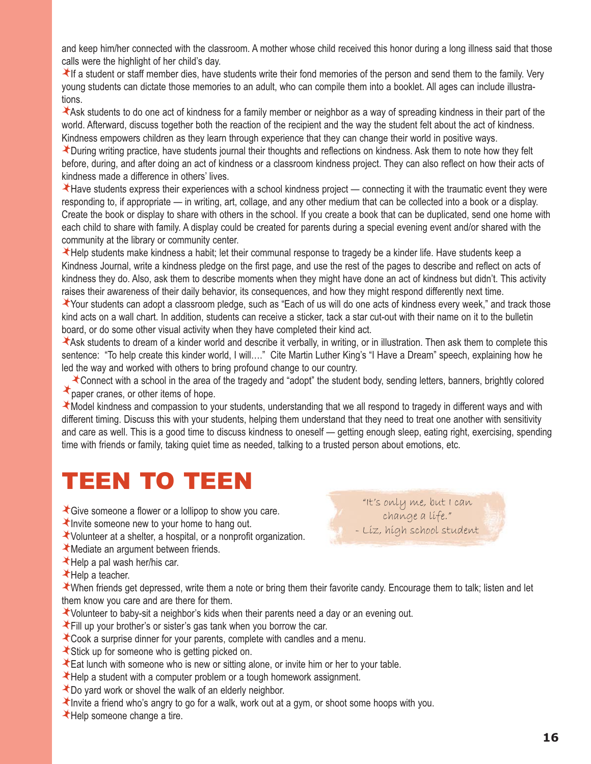and keep him/her connected with the classroom. A mother whose child received this honor during a long illness said that those calls were the highlight of her child's day.

If a student or staff member dies, have students write their fond memories of the person and send them to the family. Very young students can dictate those memories to an adult, who can compile them into a booklet. All ages can include illustrations.

Ask students to do one act of kindness for a family member or neighbor as a way of spreading kindness in their part of the world. Afterward, discuss together both the reaction of the recipient and the way the student felt about the act of kindness. Kindness empowers children as they learn through experience that they can change their world in positive ways.

During writing practice, have students journal their thoughts and reflections on kindness. Ask them to note how they felt before, during, and after doing an act of kindness or a classroom kindness project. They can also reflect on how their acts of kindness made a difference in others' lives.

Have students express their experiences with a school kindness project — connecting it with the traumatic event they were responding to, if appropriate — in writing, art, collage, and any other medium that can be collected into a book or a display. Create the book or display to share with others in the school. If you create a book that can be duplicated, send one home with each child to share with family. A display could be created for parents during a special evening event and/or shared with the community at the library or community center.

Help students make kindness a habit; let their communal response to tragedy be a kinder life. Have students keep a Kindness Journal, write a kindness pledge on the first page, and use the rest of the pages to describe and reflect on acts of kindness they do. Also, ask them to describe moments when they might have done an act of kindness but didn't. This activity raises their awareness of their daily behavior, its consequences, and how they might respond differently next time.

Your students can adopt a classroom pledge, such as "Each of us will do one acts of kindness every week," and track those kind acts on a wall chart. In addition, students can receive a sticker, tack a star cut-out with their name on it to the bulletin board, or do some other visual activity when they have completed their kind act.

Ask students to dream of a kinder world and describe it verbally, in writing, or in illustration. Then ask them to complete this sentence: "To help create this kinder world, I will...." Cite Martin Luther King's "I Have a Dream" speech, explaining how he led the way and worked with others to bring profound change to our country.

Connect with a school in the area of the tragedy and "adopt" the student body, sending letters, banners, brightly colored paper cranes, or other items of hope.

Model kindness and compassion to your students, understanding that we all respond to tragedy in different ways and with different timing. Discuss this with your students, helping them understand that they need to treat one another with sensitivity and care as well. This is a good time to discuss kindness to oneself — getting enough sleep, eating right, exercising, spending time with friends or family, taking quiet time as needed, talking to a trusted person about emotions, etc.

## TEEN TO TEEN

Give someone a flower or a lollipop to show you care.

Invite someone new to your home to hang out.

- Volunteer at a shelter, a hospital, or a nonprofit organization.
- Mediate an argument between friends.
- $\star$  Help a pal wash her/his car.

Help a teacher.

When friends get depressed, write them a note or bring them their favorite candy. Encourage them to talk; listen and let

"It's only me, but I can change a life." - Liz, high school student

them know you care and are there for them.

- Volunteer to baby-sit a neighbor's kids when their parents need a day or an evening out.
- Fill up your brother's or sister's gas tank when you borrow the car.
- Cook a surprise dinner for your parents, complete with candles and a menu.
- Stick up for someone who is getting picked on.
- Eat lunch with someone who is new or sitting alone, or invite him or her to your table.
- Help a student with a computer problem or a tough homework assignment.
- Do yard work or shovel the walk of an elderly neighbor.
- Invite a friend who's angry to go for a walk, work out at a gym, or shoot some hoops with you.
- **★Help someone change a tire.**